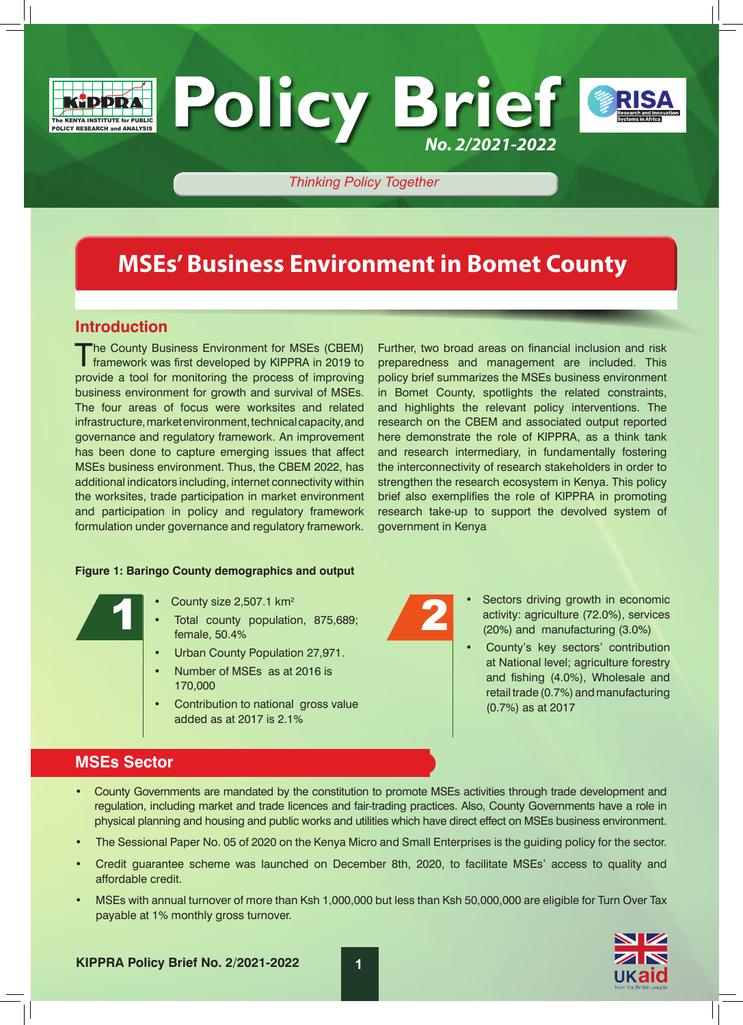



### *Thinking Policy Together*

**Policy Brief**

# **MSEs' Business Environment in Bomet County**

### **Introduction**

The County Business Environment for MSEs (CBEM)<br>
framework was first developed by KIPPRA in 2019 to provide a tool for monitoring the process of improving business environment for growth and survival of MSEs. The four areas of focus were worksites and related infrastructure, market environment, technical capacity, and governance and regulatory framework. An improvement has been done to capture emerging issues that affect MSEs business environment. Thus, the CBEM 2022, has additional indicators including, internet connectivity within the worksites, trade participation in market environment and participation in policy and regulatory framework formulation under governance and regulatory framework.

### **Figure 1: Baringo County demographics and output**

- County size 2,507.1 km2
- Total county population, 875,689; female, 50.4%  $\bullet$  County size 2,507.1 km<sup>2</sup><br>  $\bullet$  Total county population, 875,689;<br>
female, 50.4%
	- Urban County Population 27,971.
	- Number of MSEs as at 2016 is 170,000
	- Contribution to national gross value added as at 2017 is 2.1%

Further, two broad areas on financial inclusion and risk preparedness and management are included. This policy brief summarizes the MSEs business environment in Bomet County, spotlights the related constraints, and highlights the relevant policy interventions. The research on the CBEM and associated output reported here demonstrate the role of KIPPRA, as a think tank and research intermediary, in fundamentally fostering the interconnectivity of research stakeholders in order to strengthen the research ecosystem in Kenya. This policy brief also exemplifies the role of KIPPRA in promoting research take-up to support the devolved system of government in Kenya

*No. 2/2021-2022*

- Sectors driving growth in economic activity: agriculture (72.0%), services (20%) and manufacturing (3.0%)
	- County's key sectors' contribution at National level; agriculture forestry and fishing (4.0%), Wholesale and retail trade (0.7%) and manufacturing (0.7%) as at 2017

## **MSEs Sector**

- County Governments are mandated by the constitution to promote MSEs activities through trade development and regulation, including market and trade licences and fair-trading practices. Also, County Governments have a role in physical planning and housing and public works and utilities which have direct effect on MSEs business environment.
- The Sessional Paper No. 05 of 2020 on the Kenya Micro and Small Enterprises is the guiding policy for the sector.
- Credit guarantee scheme was launched on December 8th, 2020, to facilitate MSEs' access to quality and affordable credit.
- MSEs with annual turnover of more than Ksh 1,000,000 but less than Ksh 50,000,000 are eligible for Turn Over Tax payable at 1% monthly gross turnover.

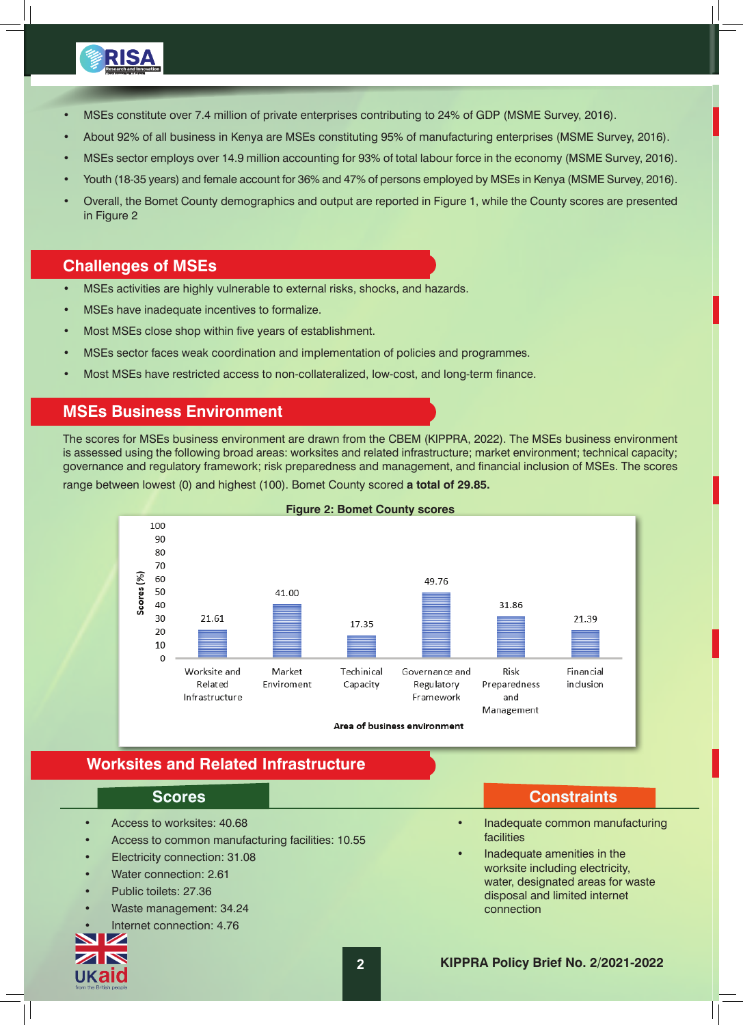

- MSEs constitute over 7.4 million of private enterprises contributing to 24% of GDP (MSME Survey, 2016).
- About 92% of all business in Kenya are MSEs constituting 95% of manufacturing enterprises (MSME Survey, 2016).
- MSEs sector employs over 14.9 million accounting for 93% of total labour force in the economy (MSME Survey, 2016).
- Youth (18-35 years) and female account for 36% and 47% of persons employed by MSEs in Kenya (MSME Survey, 2016).
- Overall, the Bomet County demographics and output are reported in Figure 1, while the County scores are presented in Figure 2

### **Challenges of MSEs**

- MSEs activities are highly vulnerable to external risks, shocks, and hazards.
- MSEs have inadequate incentives to formalize.
- Most MSEs close shop within five years of establishment.
- MSEs sector faces weak coordination and implementation of policies and programmes.
- Most MSEs have restricted access to non-collateralized, low-cost, and long-term finance.

## **MSEs Business Environment**

The scores for MSEs business environment are drawn from the CBEM (KIPPRA, 2022). The MSEs business environment is assessed using the following broad areas: worksites and related infrastructure; market environment; technical capacity; governance and regulatory framework; risk preparedness and management, and financial inclusion of MSEs. The scores

range between lowest (0) and highest (100). Bomet County scored **a total of 29.85.**



### **Figure 2: Bomet County scores**

# **Worksites and Related Infrastructure**

- Access to worksites: 40.68
- Access to common manufacturing facilities: 10.55
- Electricity connection: 31.08
- Water connection: 2.61
- Public toilets: 27.36
- Waste management: 34.24
- Internet connection: 4.76



### **Scores Constraints**

- Inadequate common manufacturing facilities
- Inadequate amenities in the worksite including electricity, water, designated areas for waste disposal and limited internet connection

### **2 KIPPRA Policy Brief No. 2/2021-2022**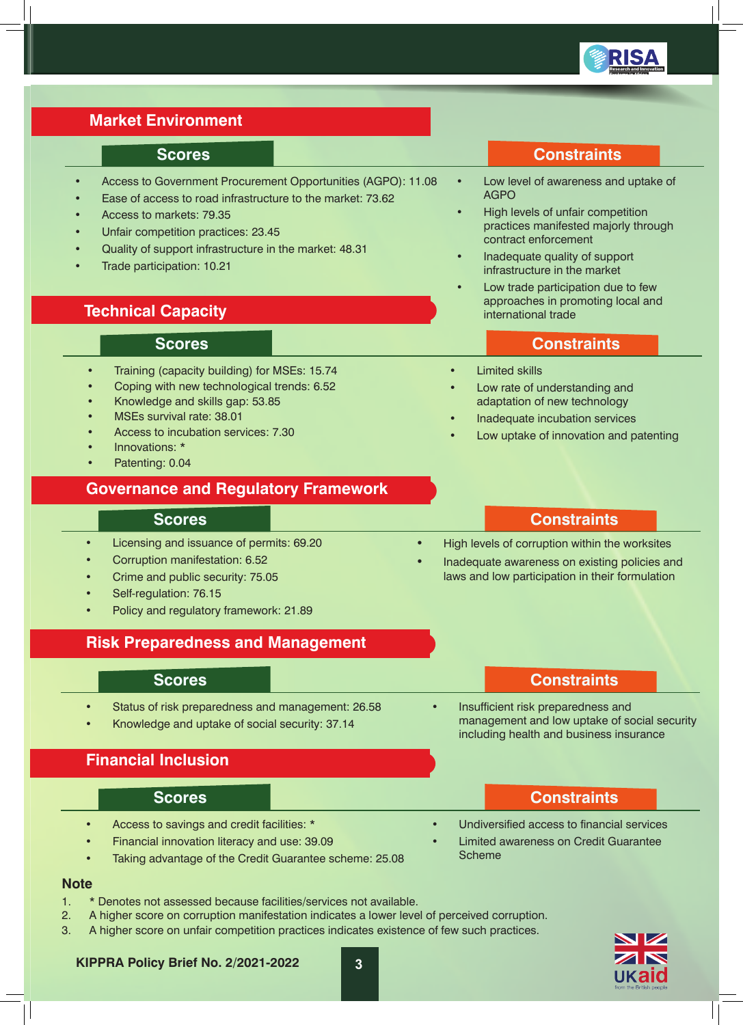

# **Market Environment**

### **Scores Constraints**

- Access to Government Procurement Opportunities (AGPO): 11.08
- Ease of access to road infrastructure to the market: 73.62
- Access to markets: 79.35
- Unfair competition practices: 23.45
- Quality of support infrastructure in the market: 48.31
- Trade participation: 10.21

## **Technical Capacity**

- Training (capacity building) for MSEs: 15.74
- Coping with new technological trends: 6.52
- Knowledge and skills gap: 53.85
- MSEs survival rate: 38.01
- Access to incubation services: 7.30
- Innovations: \*
- Patenting: 0.04

### **Governance and Regulatory Framework**

- Licensing and issuance of permits: 69.20
- Corruption manifestation: 6.52
- Crime and public security: 75.05
- Self-regulation: 76.15
- Policy and regulatory framework: 21.89

### **Risk Preparedness and Management**

- Status of risk preparedness and management: 26.58
- Knowledge and uptake of social security: 37.14

# **Financial Inclusion**

- Access to savings and credit facilities: \*
	- Financial innovation literacy and use: 39.09
- Taking advantage of the Credit Guarantee scheme: 25.08

### **Note**

- 1. \* Denotes not assessed because facilities/services not available.
- 2. A higher score on corruption manifestation indicates a lower level of perceived corruption.
- 3. A higher score on unfair competition practices indicates existence of few such practices.
- ukalo

| <b>AGPO</b>                                                                                       |
|---------------------------------------------------------------------------------------------------|
| High levels of unfair competition<br>practices manifested majorly through<br>contract enforcement |
| Inadequate quality of support<br>infrastructure in the market                                     |
| Low trade participation due to few<br>approaches in promoting local and<br>international trade    |

Low level of awareness and uptake of

### **Scores Constraints**

- **Limited skills**
- Low rate of understanding and adaptation of new technology
- Inadequate incubation services
- Low uptake of innovation and patenting

### **Scores Constraints**

- High levels of corruption within the worksites
- Inadequate awareness on existing policies and laws and low participation in their formulation

### **Scores Constraints**

• Insufficient risk preparedness and management and low uptake of social security including health and business insurance

### **Scores Constraints**

- Undiversified access to financial services • Limited awareness on Credit Guarantee
- Scheme

**KIPPRA Policy Brief No. 2/2021-2022 3**